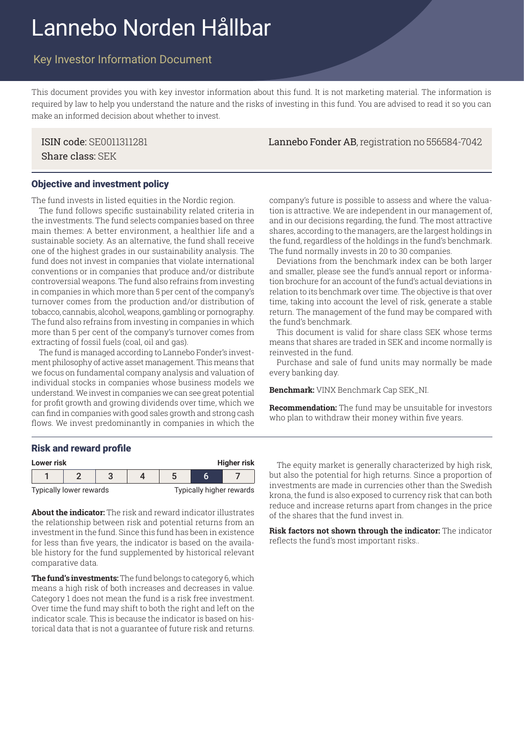# Lannebo Norden Hållbar

# Key Investor Information Document

This document provides you with key investor information about this fund. It is not marketing material. The information is required by law to help you understand the nature and the risks of investing in this fund. You are advised to read it so you can make an informed decision about whether to invest.

Share class: SEK

ISIN code: SE0011311281 Lannebo Fonder AB, registration no 556584-7042

#### Objective and investment policy

The fund invests in listed equities in the Nordic region.

The fund follows specific sustainability related criteria in the investments. The fund selects companies based on three main themes: A better environment, a healthier life and a sustainable society. As an alternative, the fund shall receive one of the highest grades in our sustainability analysis. The fund does not invest in companies that violate international conventions or in companies that produce and/or distribute controversial weapons. The fund also refrains from investing in companies in which more than 5 per cent of the company's turnover comes from the production and/or distribution of tobacco, cannabis, alcohol, weapons, gambling or pornography. The fund also refrains from investing in companies in which more than 5 per cent of the company's turnover comes from extracting of fossil fuels (coal, oil and gas).

The fund is managed according to Lannebo Fonder's investment philosophy of active asset management. This means that we focus on fundamental company analysis and valuation of individual stocks in companies whose business models we understand. We invest in companies we can see great potential for profit growth and growing dividends over time, which we can find in companies with good sales growth and strong cash flows. We invest predominantly in companies in which the

company's future is possible to assess and where the valuation is attractive. We are independent in our management of, and in our decisions regarding, the fund. The most attractive shares, according to the managers, are the largest holdings in the fund, regardless of the holdings in the fund's benchmark. The fund normally invests in 20 to 30 companies.

Deviations from the benchmark index can be both larger and smaller, please see the fund's annual report or information brochure for an account of the fund's actual deviations in relation to its benchmark over time. The objective is that over time, taking into account the level of risk, generate a stable return. The management of the fund may be compared with the fund's benchmark.

This document is valid for share class SEK whose terms means that shares are traded in SEK and income normally is reinvested in the fund.

Purchase and sale of fund units may normally be made every banking day.

**Benchmark:** VINX Benchmark Cap SEK\_NI.

**Recommendation:** The fund may be unsuitable for investors who plan to withdraw their money within five years.

#### Risk and reward profile



**About the indicator:** The risk and reward indicator illustrates the relationship between risk and potential returns from an investment in the fund. Since this fund has been in existence for less than five years, the indicator is based on the available history for the fund supplemented by historical relevant comparative data.

**The fund's investments:** The fund belongs to category 6, which means a high risk of both increases and decreases in value. Category 1 does not mean the fund is a risk free investment. Over time the fund may shift to both the right and left on the indicator scale. This is because the indicator is based on historical data that is not a guarantee of future risk and returns. but also the potential for high returns. Since a proportion of investments are made in currencies other than the Swedish krona, the fund is also exposed to currency risk that can both reduce and increase returns apart from changes in the price of the shares that the fund invest in.

**Risk factors not shown through the indicator:** The indicator reflects the fund's most important risks..